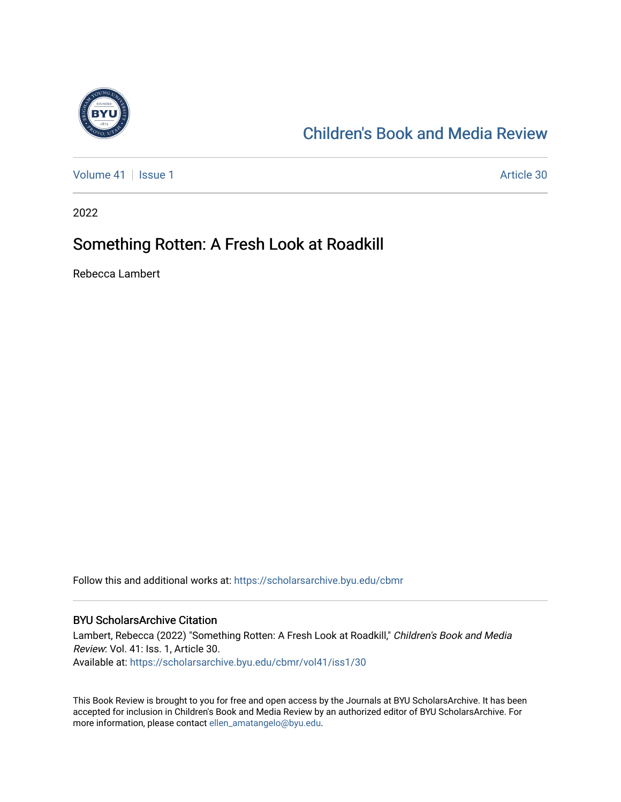

## [Children's Book and Media Review](https://scholarsarchive.byu.edu/cbmr)

[Volume 41](https://scholarsarchive.byu.edu/cbmr/vol41) | [Issue 1](https://scholarsarchive.byu.edu/cbmr/vol41/iss1) Article 30

2022

### Something Rotten: A Fresh Look at Roadkill

Rebecca Lambert

Follow this and additional works at: [https://scholarsarchive.byu.edu/cbmr](https://scholarsarchive.byu.edu/cbmr?utm_source=scholarsarchive.byu.edu%2Fcbmr%2Fvol41%2Fiss1%2F30&utm_medium=PDF&utm_campaign=PDFCoverPages) 

#### BYU ScholarsArchive Citation

Lambert, Rebecca (2022) "Something Rotten: A Fresh Look at Roadkill," Children's Book and Media Review: Vol. 41: Iss. 1, Article 30. Available at: [https://scholarsarchive.byu.edu/cbmr/vol41/iss1/30](https://scholarsarchive.byu.edu/cbmr/vol41/iss1/30?utm_source=scholarsarchive.byu.edu%2Fcbmr%2Fvol41%2Fiss1%2F30&utm_medium=PDF&utm_campaign=PDFCoverPages)

This Book Review is brought to you for free and open access by the Journals at BYU ScholarsArchive. It has been accepted for inclusion in Children's Book and Media Review by an authorized editor of BYU ScholarsArchive. For more information, please contact [ellen\\_amatangelo@byu.edu.](mailto:ellen_amatangelo@byu.edu)